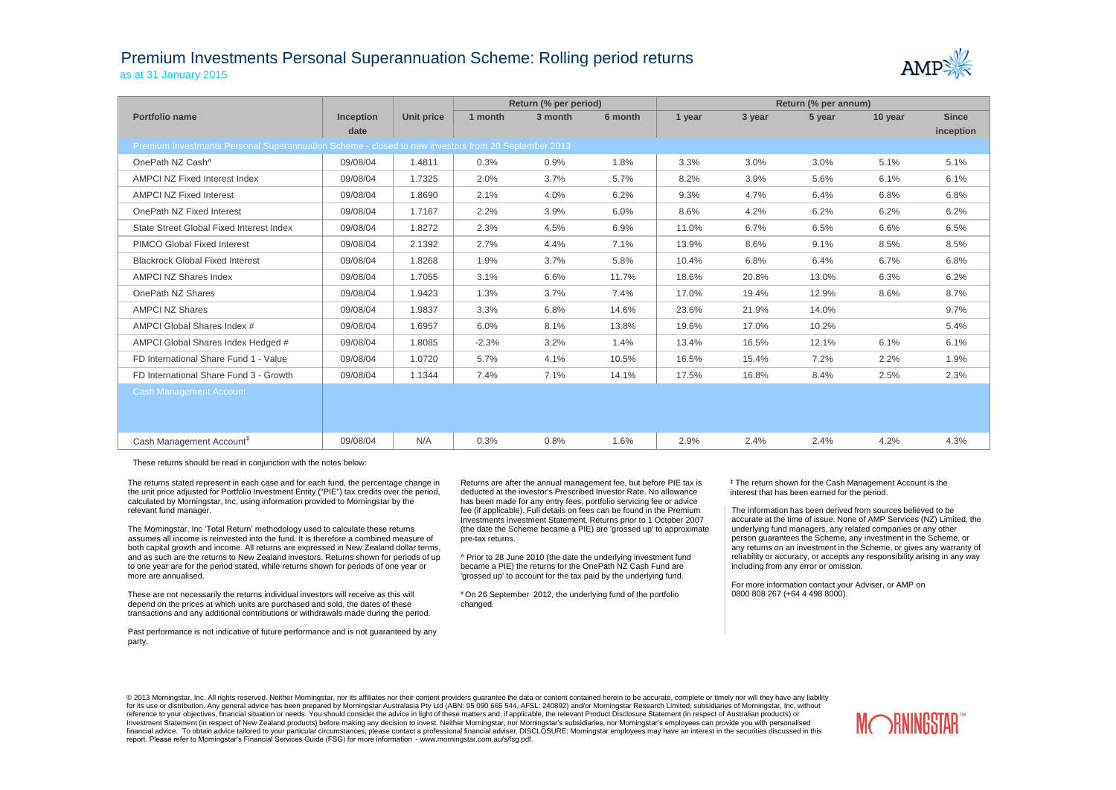## Premium Investments Personal Superannuation Scheme: Rolling period returns as at 31 January 2015



|                                                                                                     |                  |            | Return (% per period) |         |         | Return (% per annum) |        |        |         |              |  |  |
|-----------------------------------------------------------------------------------------------------|------------------|------------|-----------------------|---------|---------|----------------------|--------|--------|---------|--------------|--|--|
| Portfolio name                                                                                      | <b>Inception</b> | Unit price | 1 month               | 3 month | 6 month | 1 year               | 3 year | 5 year | 10 year | <b>Since</b> |  |  |
|                                                                                                     | date             |            |                       |         |         |                      |        |        |         | inception    |  |  |
| Premium Investments Personal Superannuation Scheme - closed to new investors from 20 September 2013 |                  |            |                       |         |         |                      |        |        |         |              |  |  |
| OnePath NZ Cash^                                                                                    | 09/08/04         | 1.4811     | 0.3%                  | 0.9%    | 1.8%    | 3.3%                 | 3.0%   | 3.0%   | 5.1%    | 5.1%         |  |  |
| AMPCI NZ Fixed Interest Index                                                                       | 09/08/04         | 1.7325     | 2.0%                  | 3.7%    | 5.7%    | 8.2%                 | 3.9%   | 5.6%   | 6.1%    | 6.1%         |  |  |
| <b>AMPCI NZ Fixed Interest</b>                                                                      | 09/08/04         | 1.8690     | 2.1%                  | 4.0%    | 6.2%    | 9.3%                 | 4.7%   | 6.4%   | 6.8%    | 6.8%         |  |  |
| OnePath NZ Fixed Interest                                                                           | 09/08/04         | 1.7167     | 2.2%                  | 3.9%    | 6.0%    | 8.6%                 | 4.2%   | 6.2%   | 6.2%    | 6.2%         |  |  |
| State Street Global Fixed Interest Index                                                            | 09/08/04         | 1.8272     | 2.3%                  | 4.5%    | 6.9%    | 11.0%                | 6.7%   | 6.5%   | 6.6%    | 6.5%         |  |  |
| PIMCO Global Fixed Interest                                                                         | 09/08/04         | 2.1392     | 2.7%                  | 4.4%    | 7.1%    | 13.9%                | 8.6%   | 9.1%   | 8.5%    | 8.5%         |  |  |
| <b>Blackrock Global Fixed Interest</b>                                                              | 09/08/04         | 1.8268     | 1.9%                  | 3.7%    | 5.8%    | 10.4%                | 6.8%   | 6.4%   | 6.7%    | 6.8%         |  |  |
| <b>AMPCI NZ Shares Index</b>                                                                        | 09/08/04         | 1.7055     | 3.1%                  | 6.6%    | 11.7%   | 18.6%                | 20.8%  | 13.0%  | 6.3%    | 6.2%         |  |  |
| OnePath NZ Shares                                                                                   | 09/08/04         | 1.9423     | 1.3%                  | 3.7%    | 7.4%    | 17.0%                | 19.4%  | 12.9%  | 8.6%    | 8.7%         |  |  |
| <b>AMPCI NZ Shares</b>                                                                              | 09/08/04         | 1.9837     | 3.3%                  | 6.8%    | 14.6%   | 23.6%                | 21.9%  | 14.0%  |         | 9.7%         |  |  |
| AMPCI Global Shares Index #                                                                         | 09/08/04         | 1.6957     | 6.0%                  | 8.1%    | 13.8%   | 19.6%                | 17.0%  | 10.2%  |         | 5.4%         |  |  |
| AMPCI Global Shares Index Hedged #                                                                  | 09/08/04         | 1.8085     | $-2.3%$               | 3.2%    | 1.4%    | 13.4%                | 16.5%  | 12.1%  | 6.1%    | 6.1%         |  |  |
| FD International Share Fund 1 - Value                                                               | 09/08/04         | 1.0720     | 5.7%                  | 4.1%    | 10.5%   | 16.5%                | 15.4%  | 7.2%   | 2.2%    | 1.9%         |  |  |
| FD International Share Fund 3 - Growth                                                              | 09/08/04         | 1.1344     | 7.4%                  | 7.1%    | 14.1%   | 17.5%                | 16.8%  | 8.4%   | 2.5%    | 2.3%         |  |  |
| <b>Cash Management Account</b>                                                                      |                  |            |                       |         |         |                      |        |        |         |              |  |  |
|                                                                                                     |                  |            |                       |         |         |                      |        |        |         |              |  |  |
|                                                                                                     |                  |            |                       |         |         |                      |        |        |         |              |  |  |
| Cash Management Account <sup>#</sup>                                                                | 09/08/04         | N/A        | 0.3%                  | 0.8%    | 1.6%    | 2.9%                 | 2.4%   | 2.4%   | 4.2%    | 4.3%         |  |  |

These returns should be read in conjunction with the notes below:

The returns stated represent in each case and for each fund, the percentage change in the unit price adjusted for Portfolio Investment Entity ("PIE") tax credits over the period, calculated by Morningstar, Inc, using information provided to Morningstar by the relevant fund manager.

The Morningstar, Inc 'Total Return' methodology used to calculate these returns assumes all income is reinvested into the fund. It is therefore a combined measure of both capital growth and income. All returns are expressed in New Zealand dollar terms, and as such are the returns to New Zealand investors. Returns shown for periods of up to one year are for the period stated, while returns shown for periods of one year or more are annualised.

These are not necessarily the returns individual investors will receive as this will depend on the prices at which units are purchased and sold, the dates of these transactions and any additional contributions or withdrawals made during the period.

Past performance is not indicative of future performance and is not guaranteed by any party.

Returns are after the annual management fee, but before PIE tax is deducted at the investor's Prescribed Investor Rate. No allowance has been made for any entry fees, portfolio servicing fee or advice fee (if applicable). Full details on fees can be found in the Premium Investments Investment Statement. Returns prior to 1 October 2007 (the date the Scheme became a PIE) are 'grossed up' to approximate pre-tax returns.

^ Prior to 28 June 2010 (the date the underlying investment fund became a PIE) the returns for the OnePath NZ Cash Fund are 'grossed up' to account for the tax paid by the underlying fund.

# On 26 September 2012, the underlying fund of the portfolio changed.

‡ The return shown for the Cash Management Account is the interest that has been earned for the period.

The information has been derived from sources believed to be accurate at the time of issue. None of AMP Services (NZ) Limited, the underlying fund managers, any related companies or any other person guarantees the Scheme, any investment in the Scheme, or any returns on an investment in the Scheme, or gives any warranty of reliability or accuracy, or accepts any responsibility arising in any way including from any error or omission.

For more information contact your Adviser, or AMP on 0800 808 267 (+64 4 498 8000).

© 2013 Morningstar, Inc. All rights reserved. Neither Morningstar, nor its affiliates nor their content providers quarantee the data or content contained herein to be accurate, complete or timely nor will they have any lia for its use or distribution. Any general advice has been prepared by Morningstar Australasia Pty Ltd (ABN: 95 090 665 544, AFSL: 240892) and/or Morningstar Research Limited, subsidiaries of Morningstar, Inc, without reference to your objectives, financial situation or needs. You should consider the advice in light of these matters and, if applicable, the relevant Product Disclosure Statement (in respect of Australian products) or Investment Statement (in respect of New Zealand products) before making any decision to invest. Neither Morningstar, nor Morningstar's subsidiaries, nor Morningstar's employees can provide you with personalised financial advice. To obtain advice tailored to your particular circumstances, please contact a professional financial adviser. DISCLOSURE: Morningstar employees may have an interest in the securities discussed in this report. Please refer to Morningstar's Financial Services Guide (FSG) for more information - www.morningstar.com.au/s/fsg.pdf.